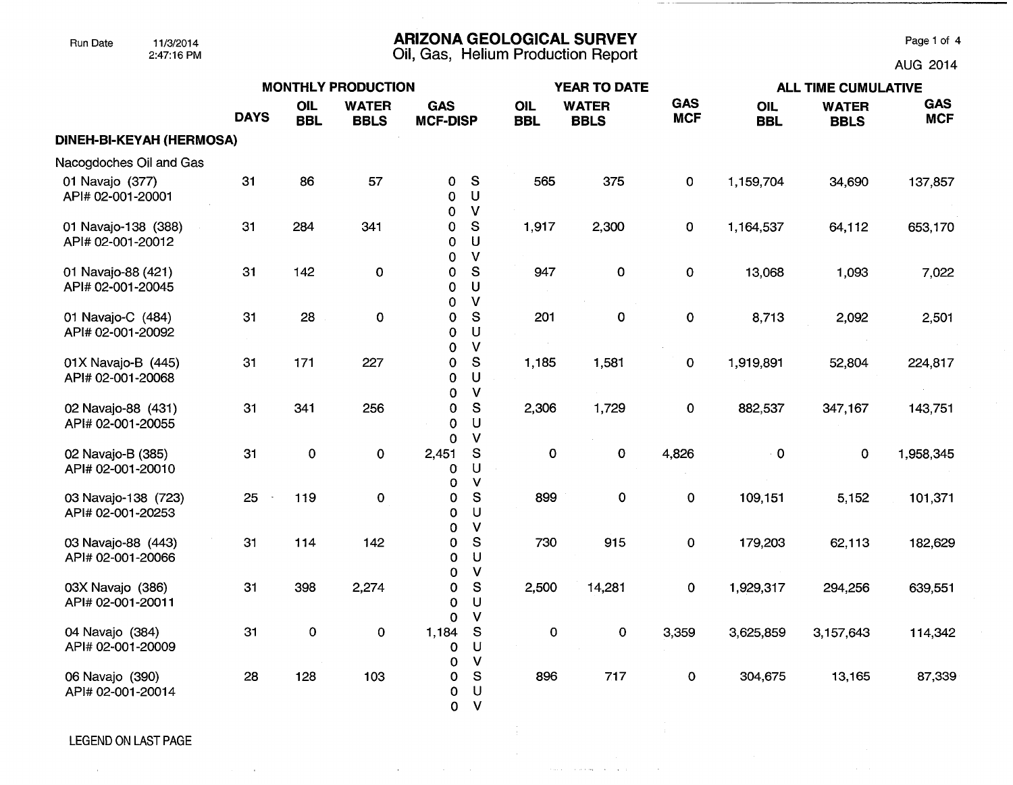## Run Date 11/3/2014 **ARIZONA GEOLOGICAL SURVEY** Page 1 of 4

2:47:16 PM Oil, Gas, Helium Production Report AUG 2014

|                                          | <b>MONTHLY PRODUCTION</b> |                          |                             |                               |                                         |                   | <b>YEAR TO DATE</b>         |                          | <b>ALL TIME CUMULATIVE</b> |                             |                          |  |
|------------------------------------------|---------------------------|--------------------------|-----------------------------|-------------------------------|-----------------------------------------|-------------------|-----------------------------|--------------------------|----------------------------|-----------------------------|--------------------------|--|
|                                          | <b>DAYS</b>               | <b>OIL</b><br><b>BBL</b> | <b>WATER</b><br><b>BBLS</b> | <b>GAS</b><br><b>MCF-DISP</b> |                                         | OIL<br><b>BBL</b> | <b>WATER</b><br><b>BBLS</b> | <b>GAS</b><br><b>MCF</b> | <b>OIL</b><br><b>BBL</b>   | <b>WATER</b><br><b>BBLS</b> | <b>GAS</b><br><b>MCF</b> |  |
| DINEH-BI-KEYAH (HERMOSA)                 |                           |                          |                             |                               |                                         |                   |                             |                          |                            |                             |                          |  |
| Nacogdoches Oil and Gas                  |                           |                          |                             |                               |                                         |                   |                             |                          |                            |                             |                          |  |
| 01 Navajo (377)<br>API# 02-001-20001     | 31                        | 86                       | 57                          | 0<br>$\Omega$<br>0            | S<br>U<br>$\mathsf{V}$                  | 565               | 375                         | 0                        | 1,159,704                  | 34,690                      | 137,857                  |  |
| 01 Navajo-138 (388)<br>API# 02-001-20012 | 31                        | 284                      | 341                         | 0<br>0<br>0                   | S<br>$\mathsf U$<br>$\mathsf{V}$        | 1,917             | 2,300                       | 0                        | 1,164,537                  | 64,112                      | 653,170                  |  |
| 01 Navajo-88 (421)<br>API# 02-001-20045  | 31                        | 142                      | $\pmb{0}$                   | 0<br>0<br>$\Omega$            | S<br>$\cup$<br>$\mathsf{V}$             | 947               | $\mathbf 0$                 | $\pmb{0}$                | 13,068                     | 1,093                       | 7,022                    |  |
| 01 Navajo-C (484)<br>API# 02-001-20092   | 31                        | 28                       | $\mathbf 0$                 | $\mathbf 0$<br>$\Omega$<br>0  | S<br>U<br>$\vee$                        | 201               | $\mathbf 0$                 | 0                        | 8,713                      | 2,092                       | 2,501                    |  |
| 01X Navajo-B (445)<br>API# 02-001-20068  | 31                        | 171                      | 227                         | 0<br>0<br>0                   | ${\tt S}$<br>U<br>$\vee$                | 1,185             | 1,581                       | 0                        | 1,919,891                  | 52,804                      | 224,817                  |  |
| 02 Navajo-88 (431)<br>API# 02-001-20055  | 31                        | 341                      | 256                         | 0<br>0                        | ${\mathsf S}$<br>U<br>$\mathsf{V}$      | 2,306             | 1,729                       | $\mathbf 0$              | 882,537                    | 347,167                     | 143,751                  |  |
| 02 Navajo-B (385)<br>API# 02-001-20010   | 31                        | $\pmb{0}$                | 0                           | 0<br>2,451<br>0<br>0          | S<br>U<br>V                             | 0                 | $\mathbf 0$                 | 4,826                    | $\cdot$ 0                  | 0                           | 1,958,345                |  |
| 03 Navajo-138 (723)<br>API# 02-001-20253 | 25                        | 119                      | 0                           | 0<br>$\Omega$<br>0            | ${\mathsf S}$<br>$\cup$<br>$\mathbf{V}$ | 899               | $\mathbf 0$                 | $\mathbf 0$              | 109,151                    | 5,152                       | 101,371                  |  |
| 03 Navajo-88 (443)<br>API# 02-001-20066  | 31                        | 114                      | 142                         | 0<br>0<br>0                   | S<br>U<br>$\mathsf{V}$                  | 730               | 915                         | $\pmb{0}$                | 179,203                    | 62,113                      | 182,629                  |  |
| 03X Navajo (386)<br>API# 02-001-20011    | 31                        | 398                      | 2,274                       | $\pmb{0}$<br>0<br>0           | ${\mathbb S}$<br>$\cup$<br>$\mathsf{V}$ | 2,500             | 14,281                      | $\pmb{0}$                | 1,929,317                  | 294,256                     | 639,551                  |  |
| 04 Navajo (384)<br>API# 02-001-20009     | 31                        | $\pmb{0}$                | $\mathbf 0$                 | 1,184<br>0<br>0               | S<br>U<br>$\mathsf{V}$                  | $\pmb{0}$         | 0                           | 3,359                    | 3,625,859                  | 3,157,643                   | 114,342                  |  |
| 06 Navajo (390)<br>API# 02-001-20014     | 28                        | 128                      | 103                         | 0<br>0<br>$\mathbf 0$         | $\mathbf S$<br>U<br>$\vee$              | 896               | 717                         | $\mathbf{o}$             | 304,675                    | 13,165                      | 87,339                   |  |

 $\mathcal{A}^{\mathcal{A}}$  and  $\mathcal{A}^{\mathcal{A}}$  are  $\mathcal{A}^{\mathcal{A}}$  . In the  $\mathcal{A}^{\mathcal{A}}$ 

, where  $\hat{r}$  is a set of  $\hat{r}$  , we can also a set of  $\hat{r}$ 

LEGEND ON LAST PAGE

**Contractor** 

 $\sim 10^{-1}$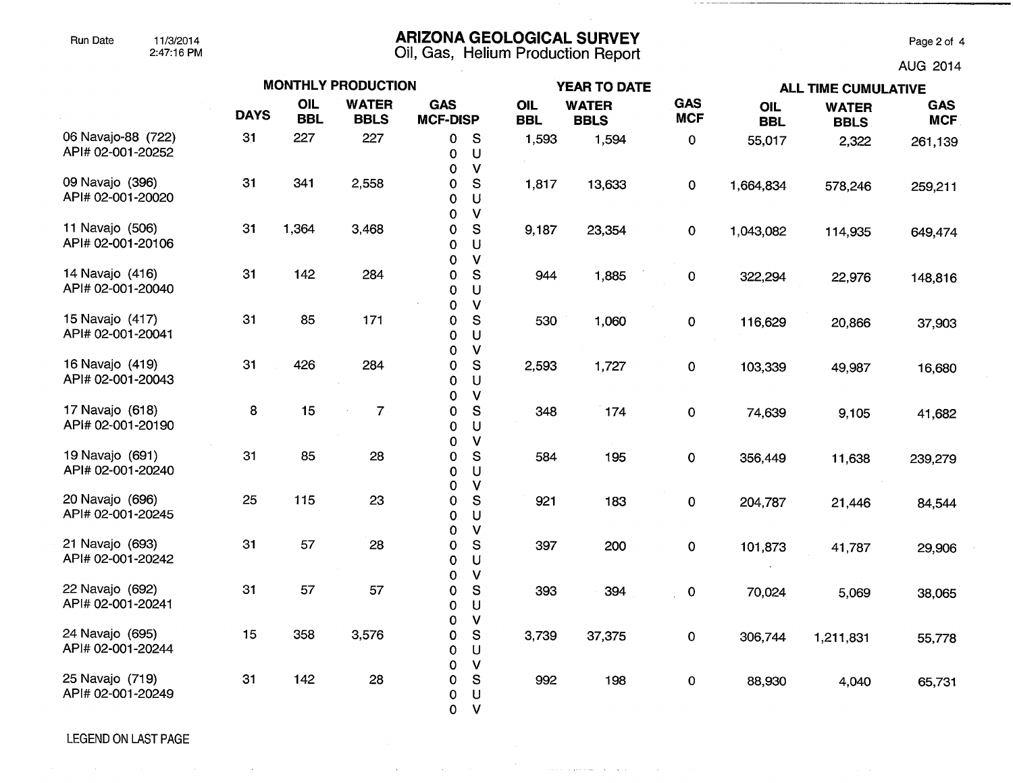#### Run Date 11/3/2014 **ARIZONA GEOLOGICAL SURVEY** Page 2 of 4

2:47:16 PM Oil, Gas, **Helium Production Report** AUG 2014

|                                         |             |                          | <b>MONTHLY PRODUCTION</b>   |                               |                                                    |                   | <b>YEAR TO DATE</b>         |                          | <b>ALL TIME CUMULATIVE</b> |                             |                          |  |
|-----------------------------------------|-------------|--------------------------|-----------------------------|-------------------------------|----------------------------------------------------|-------------------|-----------------------------|--------------------------|----------------------------|-----------------------------|--------------------------|--|
|                                         | <b>DAYS</b> | <b>OIL</b><br><b>BBL</b> | <b>WATER</b><br><b>BBLS</b> | <b>GAS</b><br><b>MCF-DISP</b> |                                                    | OIL<br><b>BBL</b> | <b>WATER</b><br><b>BBLS</b> | <b>GAS</b><br><b>MCF</b> | <b>OIL</b><br><b>BBL</b>   | <b>WATER</b><br><b>BBLS</b> | <b>GAS</b><br><b>MCF</b> |  |
| 06 Navajo-88 (722)<br>API# 02-001-20252 | 31          | 227                      | 227                         | 0<br>0<br>$\mathbf 0$         | <sub>S</sub><br>$\cup$<br>$\mathsf{V}$             | 1,593             | 1,594                       | $\pmb{0}$                | 55,017                     | 2,322                       | 261,139                  |  |
| 09 Navajo (396)<br>API# 02-001-20020    | 31          | 341                      | 2,558                       | 0<br>0<br>0                   | ${\mathsf S}$<br>U<br>$\vee$                       | 1,817             | 13,633                      | $\mathbf 0$              | 1,664,834                  | 578,246                     | 259,211                  |  |
| 11 Navajo (506)<br>API# 02-001-20106    | 31          | 1,364                    | 3,468                       | 0<br>0<br>$\Omega$            | $\mathbb S$<br>U<br>$\vee$                         | 9,187             | 23,354                      | $\mathbf 0$              | 1,043,082                  | 114,935                     | 649,474                  |  |
| 14 Navajo (416)<br>API# 02-001-20040    | 31          | 142                      | 284                         | 0<br>0                        | S<br>U<br>$\mathsf{V}$                             | 944               | 1,885                       | 0                        | 322,294                    | 22,976                      | 148,816                  |  |
| 15 Navajo (417)<br>API# 02-001-20041    | 31          | 85                       | 171                         | 0<br>0<br>0                   | ${\mathbb S}$<br>U                                 | 530               | 1,060                       | 0                        | 116,629                    | 20,866                      | 37,903                   |  |
| 16 Navajo (419)<br>API# 02-001-20043    | 31          | 426                      | 284                         | 0<br>0<br>0                   | $\sf V$<br>${\mathsf S}$<br>U                      | 2,593             | 1,727                       | 0                        | 103,339                    | 49,987                      | 16,680                   |  |
| 17 Navajo (618)<br>API# 02-001-20190    | 8           | 15                       | $\overline{7}$              | 0<br>0<br>0                   | $\mathsf{V}$<br>${\mathsf S}$<br>U                 | 348               | 174                         | $\mathbf 0$              | 74,639                     | 9,105                       | 41,682                   |  |
| 19 Navajo (691)<br>API# 02-001-20240    | 31          | 85                       | 28                          | 0<br>0<br>0<br>0              | $\mathsf{V}$<br>${\mathsf S}$<br>U<br>$\mathsf{V}$ | 584               | 195                         | $\mathbf 0$              | 356,449                    | 11,638                      | 239,279                  |  |
| 20 Navajo (696)<br>API# 02-001-20245    | 25          | 115                      | 23                          | 0<br>0<br>0                   | ${\mathsf S}$<br>U<br>$\mathsf{V}$                 | 921               | 183                         | 0                        | 204,787                    | 21,446                      | 84,544                   |  |
| 21 Navajo (693)<br>API# 02-001-20242    | 31          | 57                       | 28                          | 0<br>0                        | S<br>U<br>$\mathsf{V}$                             | 397               | 200                         | $\pmb{0}$                | 101,873                    | 41,787                      | 29,906                   |  |
| 22 Navajo (692)<br>API# 02-001-20241    | 31          | 57                       | 57                          | 0<br>0<br>0                   | S<br>U                                             | 393               | 394                         | $\mathbf 0$              | 70,024                     | 5,069                       | 38,065                   |  |
| 24 Navajo (695)<br>API# 02-001-20244    | 15          | 358                      | 3,576                       | 0<br>0<br>0                   | $\mathsf{v}$<br>${\mathbb S}$<br>U                 | 3,739             | 37,375                      | $\mathbf 0$              | 306,744                    | 1,211,831                   | 55,778                   |  |
| 25 Navajo (719)<br>API# 02-001-20249    | 31          | 142                      | 28                          | 0<br>0<br>0<br>$\mathbf 0$    | $\mathsf{V}$<br>${\mathbb S}$<br>U<br>V            | 992               | 198                         | 0                        | 88,930                     | 4,040                       | 65,731                   |  |

الواريق المتوارد المستحقق من

LEGEND ON LAST PAGE

 $\bar{z}$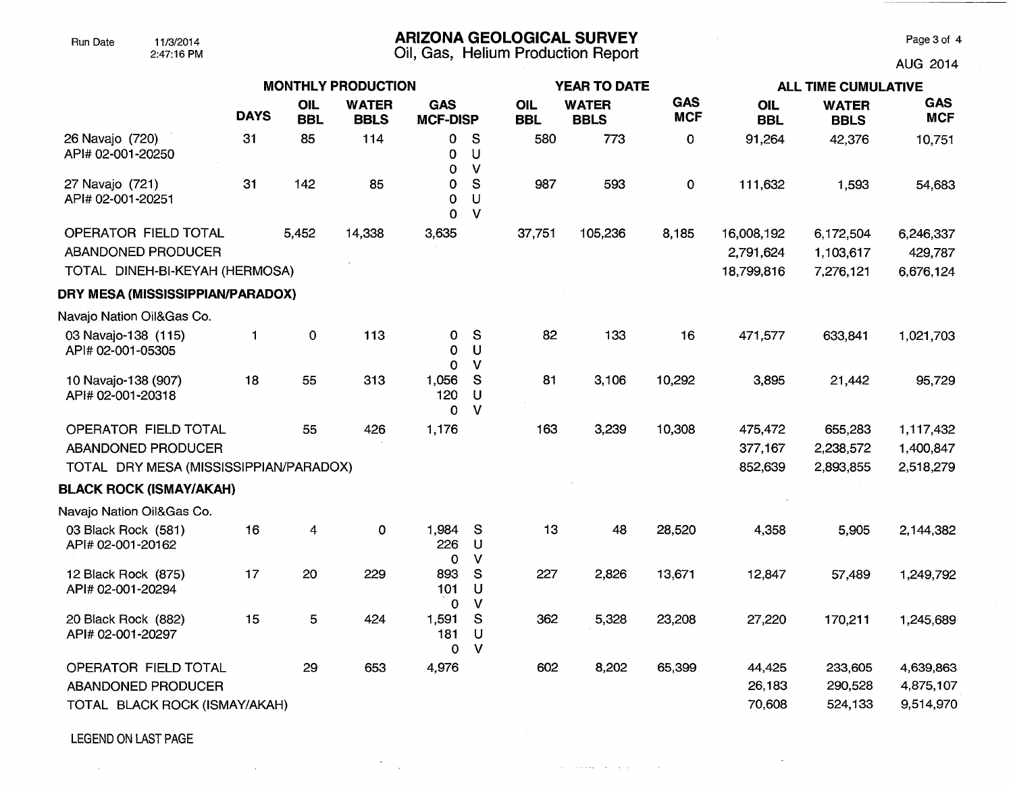## Run Date 11/3/2014 **ARIZONA GEOLOGICAL SURVEY** Page 3 of 4

2:47:16 PM Oil, Gas, Helium Production Report AUG 2014

 $\sim$ 

, we can assume that  $\mathcal{O}(\mathcal{A})$  , we can assume that  $\mathcal{O}(\mathcal{A})$ 

|                                                                              |             |                          | <b>MONTHLY PRODUCTION</b>   |                               |                                  |                          | <b>YEAR TO DATE</b>         |                          | <b>ALL TIME CUMULATIVE</b>            |                                     |                                     |  |
|------------------------------------------------------------------------------|-------------|--------------------------|-----------------------------|-------------------------------|----------------------------------|--------------------------|-----------------------------|--------------------------|---------------------------------------|-------------------------------------|-------------------------------------|--|
|                                                                              | <b>DAYS</b> | <b>OIL</b><br><b>BBL</b> | <b>WATER</b><br><b>BBLS</b> | <b>GAS</b><br><b>MCF-DISP</b> |                                  | <b>OIL</b><br><b>BBL</b> | <b>WATER</b><br><b>BBLS</b> | <b>GAS</b><br><b>MCF</b> | <b>OIL</b><br><b>BBL</b>              | <b>WATER</b><br><b>BBLS</b>         | <b>GAS</b><br><b>MCF</b>            |  |
| 26 Navajo (720)<br>API# 02-001-20250                                         | 31          | 85                       | 114                         | 0<br>0<br>$\Omega$            | S<br>U<br>$\mathsf{V}$           | 580                      | 773                         | 0                        | 91,264                                | 42,376                              | 10,751                              |  |
| 27 Navajo (721)<br>API# 02-001-20251                                         | 31          | 142                      | 85                          | $\mathbf 0$<br>0<br>$\Omega$  | $\mathbf S$<br>U<br>$\mathsf{V}$ | 987                      | 593                         | $\mathbf 0$              | 111,632                               | 1,593                               | 54,683                              |  |
| OPERATOR FIELD TOTAL<br>ABANDONED PRODUCER<br>TOTAL DINEH-BI-KEYAH (HERMOSA) |             | 5,452                    | 14,338                      | 3,635                         |                                  | 37,751                   | 105,236                     | 8,185                    | 16,008,192<br>2,791,624<br>18,799,816 | 6,172,504<br>1,103,617<br>7,276,121 | 6,246,337<br>429,787<br>6,676,124   |  |
| DRY MESA (MISSISSIPPIAN/PARADOX)                                             |             |                          |                             |                               |                                  |                          |                             |                          |                                       |                                     |                                     |  |
| Navajo Nation Oil&Gas Co.                                                    |             |                          |                             |                               |                                  |                          |                             |                          |                                       |                                     |                                     |  |
| 03 Navajo-138 (115)<br>API# 02-001-05305                                     | 1           | $\pmb{0}$                | 113                         | 0<br>0<br>$\Omega$            | S<br>U<br>$\mathbf v$            | 82                       | 133                         | 16                       | 471,577                               | 633,841                             | 1,021,703                           |  |
| 10 Navajo-138 (907)<br>API# 02-001-20318                                     | 18          | 55                       | 313                         | 1,056<br>120<br>$\Omega$      | S<br>U<br>$\mathsf{V}$           | 81                       | 3,106                       | 10,292                   | 3,895                                 | 21,442                              | 95,729                              |  |
| OPERATOR FIELD TOTAL                                                         |             | 55                       | 426                         | 1,176                         |                                  | 163                      | 3,239                       | 10,308                   | 475,472                               | 655,283                             | 1,117,432                           |  |
| ABANDONED PRODUCER                                                           |             |                          |                             |                               |                                  |                          |                             |                          | 377,167                               | 2,238,572                           | 1,400,847                           |  |
| TOTAL DRY MESA (MISSISSIPPIAN/PARADOX)                                       |             |                          |                             |                               |                                  |                          |                             |                          | 852,639                               | 2,893,855                           | 2,518,279                           |  |
| <b>BLACK ROCK (ISMAY/AKAH)</b>                                               |             |                          |                             |                               |                                  |                          |                             |                          |                                       |                                     |                                     |  |
| Navajo Nation Oil&Gas Co.                                                    |             |                          |                             |                               |                                  |                          |                             |                          |                                       |                                     |                                     |  |
| 03 Black Rock (581)<br>API# 02-001-20162                                     | 16          | 4                        | $\mathbf 0$                 | 1,984<br>226<br>$\mathbf 0$   | S<br>U<br>$\mathsf{V}$           | 13                       | 48                          | 28,520                   | 4,358                                 | 5,905                               | 2,144,382                           |  |
| 12 Black Rock (875)<br>API# 02-001-20294                                     | 17          | 20                       | 229                         | 893<br>101<br>$\mathbf 0$     | S<br>U<br>$\mathbf{V}$           | 227                      | 2,826                       | 13,671                   | 12,847                                | 57,489                              | 1,249,792                           |  |
| 20 Black Rock (882)<br>API# 02-001-20297                                     | 15          | 5                        | 424                         | 1,591<br>181<br>$\mathbf 0$   | S<br>U<br>$\mathsf{V}$           | 362                      | 5,328                       | 23,208                   | 27,220                                | 170,211                             | 1,245,689                           |  |
| OPERATOR FIELD TOTAL<br>ABANDONED PRODUCER<br>TOTAL BLACK ROCK (ISMAY/AKAH)  |             | 29                       | 653                         | 4,976                         |                                  | 602                      | 8,202                       | 65,399                   | 44,425<br>26,183<br>70,608            | 233,605<br>290,528<br>524,133       | 4,639,863<br>4,875,107<br>9,514,970 |  |

 $\star$ 

 $\sim$ 

 $\Delta \mathbf{r}$  and  $\mathbf{r}$  are the set of the set of  $\mathbf{r}$ 

LEGEND ON LAST PAGE

 $\sim 0.1$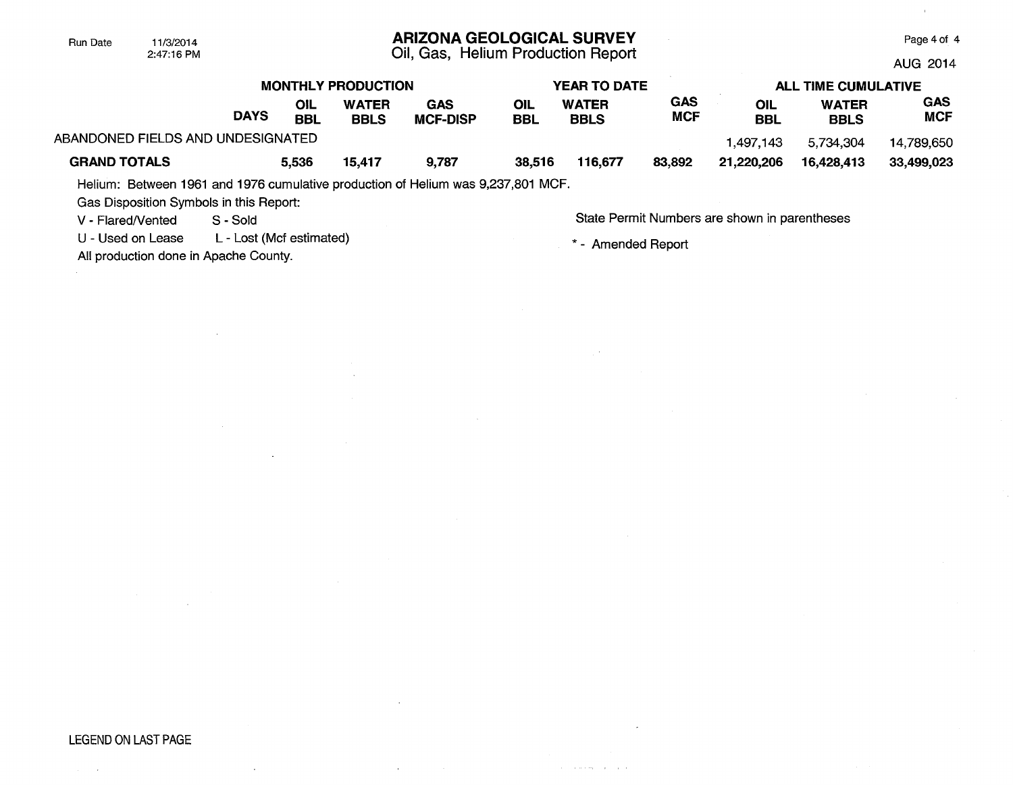# **ARIZONA GEOLOGICAL SURVEY**

Oil, Gas, Helium Production Report

Page 4 of 4 AUG 2014

|                                   | <b>MONTHLY PRODUCTION</b> |                   |                             |                        |            | <b>YEAR TO DATE</b>         |                          | <b>ALL TIME CUMULATIVE</b> |                             |                          |  |
|-----------------------------------|---------------------------|-------------------|-----------------------------|------------------------|------------|-----------------------------|--------------------------|----------------------------|-----------------------------|--------------------------|--|
|                                   | <b>DAYS</b>               | OIL<br><b>BBL</b> | <b>WATER</b><br><b>BBLS</b> | GAS<br><b>MCF-DISP</b> | OIL<br>BBL | <b>WATER</b><br><b>BBLS</b> | <b>GAS</b><br><b>MCF</b> | OIL<br><b>BBL</b>          | <b>WATER</b><br><b>BBLS</b> | <b>GAS</b><br><b>MCF</b> |  |
| ABANDONED FIELDS AND UNDESIGNATED |                           |                   |                             |                        |            |                             |                          | 1.497.143                  | 5,734,304                   | 14,789,650               |  |
| <b>GRAND TOTALS</b>               |                           | 5,536             | 15,417                      | 9,787                  | 38,516     | 116,677                     | 83,892                   | 21,220,206                 | 16.428.413                  | 33,499,023               |  |

Helium: Between 1961 and 1976 cumulative production of Helium was 9,237,801 MCF.

Gas Disposition Symbols in this Report:

2:47:16 PM

Run Date 11/3/2014

U - Used on Lease L - Lost (Mcf estimated)  $*$  - Amended Report

All production done in Apache County.

V - Flared/Vented S - Sold Sold State Permit Numbers are shown in parentheses

and a series of the con-

 $\mathcal{A}^{\pm}$ 

## LEGEND ON LAST PAGE

 $\sim$